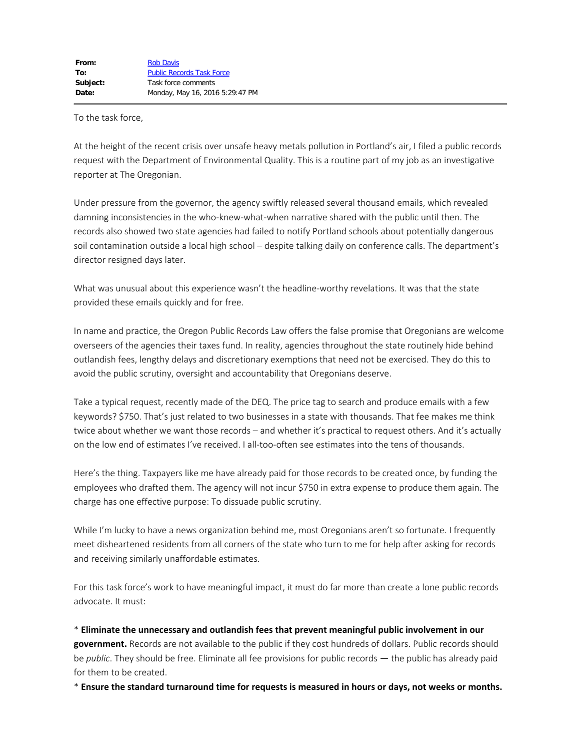To the task force,

At the height of the recent crisis over unsafe heavy metals pollution in Portland's air, I filed a public records request with the Department of Environmental Quality. This is a routine part of my job as an investigative reporter at The Oregonian.

Under pressure from the governor, the agency swiftly released several thousand emails, which revealed damning inconsistencies in the who-knew-what-when narrative shared with the public until then. The records also showed two state agencies had failed to notify Portland schools about potentially dangerous soil contamination outside a local high school – despite talking daily on conference calls. The department's director resigned days later.

What was unusual about this experience wasn't the headline-worthy revelations. It was that the state provided these emails quickly and for free.

In name and practice, the Oregon Public Records Law offers the false promise that Oregonians are welcome overseers of the agencies their taxes fund. In reality, agencies throughout the state routinely hide behind outlandish fees, lengthy delays and discretionary exemptions that need not be exercised. They do this to avoid the public scrutiny, oversight and accountability that Oregonians deserve.

Take a typical request, recently made of the DEQ. The price tag to search and produce emails with a few keywords? \$750. That's just related to two businesses in a state with thousands. That fee makes me think twice about whether we want those records – and whether it's practical to request others. And it's actually on the low end of estimates I've received. I all-too-often see estimates into the tens of thousands.

Here's the thing. Taxpayers like me have already paid for those records to be created once, by funding the employees who drafted them. The agency will not incur \$750 in extra expense to produce them again. The charge has one effective purpose: To dissuade public scrutiny.

While I'm lucky to have a news organization behind me, most Oregonians aren't so fortunate. I frequently meet disheartened residents from all corners of the state who turn to me for help after asking for records and receiving similarly unaffordable estimates.

For this task force's work to have meaningful impact, it must do far more than create a lone public records advocate. It must:

\* **Eliminate the unnecessary and outlandish fees that prevent meaningful public involvement in our government.** Records are not available to the public if they cost hundreds of dollars. Public records should be *public*. They should be free. Eliminate all fee provisions for public records — the public has already paid for them to be created.

\* **Ensure the standard turnaround time for requests is measured in hours or days, not weeks or months.**